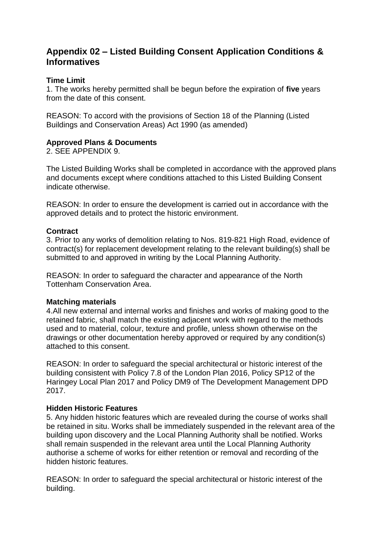# **Appendix 02 – Listed Building Consent Application Conditions & Informatives**

## **Time Limit**

1. The works hereby permitted shall be begun before the expiration of **five** years from the date of this consent.

REASON: To accord with the provisions of Section 18 of the Planning (Listed Buildings and Conservation Areas) Act 1990 (as amended)

## **Approved Plans & Documents**

2. SEE APPENDIX 9.

The Listed Building Works shall be completed in accordance with the approved plans and documents except where conditions attached to this Listed Building Consent indicate otherwise.

REASON: In order to ensure the development is carried out in accordance with the approved details and to protect the historic environment.

## **Contract**

3. Prior to any works of demolition relating to Nos. 819-821 High Road, evidence of contract(s) for replacement development relating to the relevant building(s) shall be submitted to and approved in writing by the Local Planning Authority.

REASON: In order to safeguard the character and appearance of the North Tottenham Conservation Area.

## **Matching materials**

4.All new external and internal works and finishes and works of making good to the retained fabric, shall match the existing adjacent work with regard to the methods used and to material, colour, texture and profile, unless shown otherwise on the drawings or other documentation hereby approved or required by any condition(s) attached to this consent.

REASON: In order to safeguard the special architectural or historic interest of the building consistent with Policy 7.8 of the London Plan 2016, Policy SP12 of the Haringey Local Plan 2017 and Policy DM9 of The Development Management DPD 2017.

## **Hidden Historic Features**

5. Any hidden historic features which are revealed during the course of works shall be retained in situ. Works shall be immediately suspended in the relevant area of the building upon discovery and the Local Planning Authority shall be notified. Works shall remain suspended in the relevant area until the Local Planning Authority authorise a scheme of works for either retention or removal and recording of the hidden historic features.

REASON: In order to safeguard the special architectural or historic interest of the building.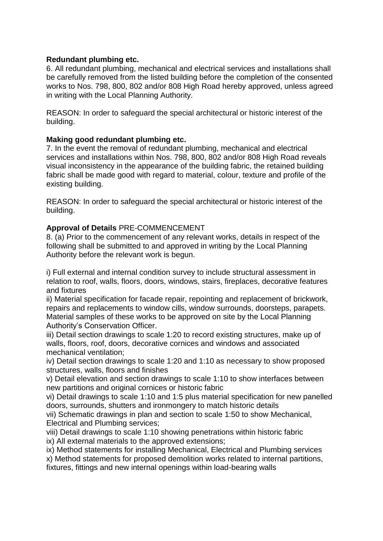## **Redundant plumbing etc.**

6. All redundant plumbing, mechanical and electrical services and installations shall be carefully removed from the listed building before the completion of the consented works to Nos. 798, 800, 802 and/or 808 High Road hereby approved, unless agreed in writing with the Local Planning Authority.

REASON: In order to safeguard the special architectural or historic interest of the building.

## **Making good redundant plumbing etc.**

7. In the event the removal of redundant plumbing, mechanical and electrical services and installations within Nos. 798, 800, 802 and/or 808 High Road reveals visual inconsistency in the appearance of the building fabric, the retained building fabric shall be made good with regard to material, colour, texture and profile of the existing building.

REASON: In order to safeguard the special architectural or historic interest of the building.

## **Approval of Details** PRE-COMMENCEMENT

8. (a) Prior to the commencement of any relevant works, details in respect of the following shall be submitted to and approved in writing by the Local Planning Authority before the relevant work is begun.

i) Full external and internal condition survey to include structural assessment in relation to roof, walls, floors, doors, windows, stairs, fireplaces, decorative features and fixtures

ii) Material specification for facade repair, repointing and replacement of brickwork, repairs and replacements to window cills, window surrounds, doorsteps, parapets. Material samples of these works to be approved on site by the Local Planning Authority's Conservation Officer.

iii) Detail section drawings to scale 1:20 to record existing structures, make up of walls, floors, roof, doors, decorative cornices and windows and associated mechanical ventilation;

iv) Detail section drawings to scale 1:20 and 1:10 as necessary to show proposed structures, walls, floors and finishes

v) Detail elevation and section drawings to scale 1:10 to show interfaces between new partitions and original cornices or historic fabric

vi) Detail drawings to scale 1:10 and 1:5 plus material specification for new panelled doors, surrounds, shutters and ironmongery to match historic details

vii) Schematic drawings in plan and section to scale 1:50 to show Mechanical, Electrical and Plumbing services;

viii) Detail drawings to scale 1:10 showing penetrations within historic fabric ix) All external materials to the approved extensions;

ix) Method statements for installing Mechanical, Electrical and Plumbing services

x) Method statements for proposed demolition works related to internal partitions,

fixtures, fittings and new internal openings within load-bearing walls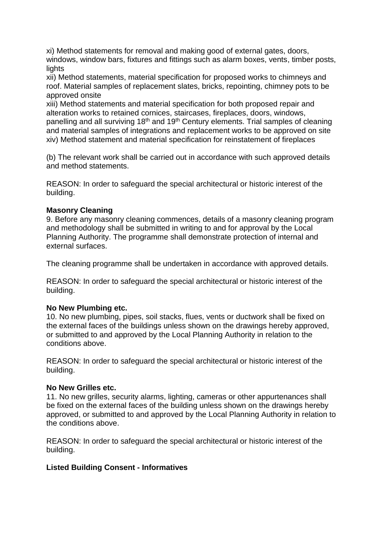xi) Method statements for removal and making good of external gates, doors, windows, window bars, fixtures and fittings such as alarm boxes, vents, timber posts, lights

xii) Method statements, material specification for proposed works to chimneys and roof. Material samples of replacement slates, bricks, repointing, chimney pots to be approved onsite

xiii) Method statements and material specification for both proposed repair and alteration works to retained cornices, staircases, fireplaces, doors, windows, panelling and all surviving 18<sup>th</sup> and 19<sup>th</sup> Century elements. Trial samples of cleaning and material samples of integrations and replacement works to be approved on site xiv) Method statement and material specification for reinstatement of fireplaces

(b) The relevant work shall be carried out in accordance with such approved details and method statements.

REASON: In order to safeguard the special architectural or historic interest of the building.

## **Masonry Cleaning**

9. Before any masonry cleaning commences, details of a masonry cleaning program and methodology shall be submitted in writing to and for approval by the Local Planning Authority. The programme shall demonstrate protection of internal and external surfaces.

The cleaning programme shall be undertaken in accordance with approved details.

REASON: In order to safeguard the special architectural or historic interest of the building.

## **No New Plumbing etc.**

10. No new plumbing, pipes, soil stacks, flues, vents or ductwork shall be fixed on the external faces of the buildings unless shown on the drawings hereby approved, or submitted to and approved by the Local Planning Authority in relation to the conditions above.

REASON: In order to safeguard the special architectural or historic interest of the building.

## **No New Grilles etc.**

11. No new grilles, security alarms, lighting, cameras or other appurtenances shall be fixed on the external faces of the building unless shown on the drawings hereby approved, or submitted to and approved by the Local Planning Authority in relation to the conditions above.

REASON: In order to safeguard the special architectural or historic interest of the building.

## **Listed Building Consent - Informatives**